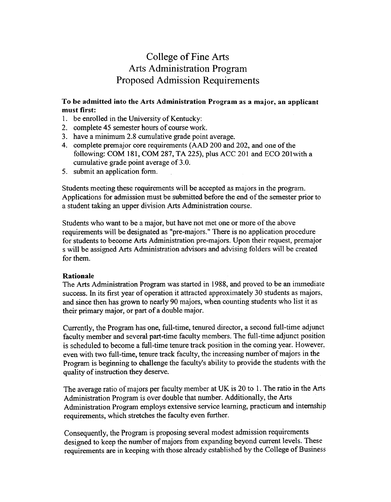## College of Fine Arts Arts Administration Program Proposed Admission Requirements

## To be admitted into the Arts Administration Program as a major, an applicant must first:

- 1. be enrolled in the University of Kentucky:
- 2. complete 45 semester hours of course work.
- 3. have a minimum 2.8 cumulative grade point average.
- 4. complete premajor core requirements (AAD 200 and 202, and one of the following: COM 181, COM 287, TA 225), plus ACC 201 and ECO 201 with a cumulative grade point average of 3.0.
- 5. submit an application form.

Students meeting these requirements will be accepted as majors in the program. Applications for admission must be submitted before the end of the semester prior to a student taking an upper division Arts Administration course.

Students who want to be a major, but have not met one or more of the above requirements will be designated as "pre-majors." There is no application procedure for students to become Arts Administration pre-majors. Upon their request, premajor s will be assigned Arts Administration advisors and advising folders will be created for them.

## Rationale

The Arts Administration Program was started in 1988, and proved to be an immediate success. In its first year of operation it attracted approximately 30 students as majors, and since then has grown to nearly 90 majors, when counting students who list it as their primary major, or part of a double major.

Currently, the Program has one, full-time, tenured director, a second full-time adjunct faculty member and several part-time faculty members. The full-time adjunct position is scheduled to become a full-time tenure track position in the coming year. However, even with two full-time, tenure track faculty, the increasing number of majors in the Program is beginning to challenge the faculty's ability to provide the students with the quality of instruction they deserve.

The average ratio of majors per faculty member at UK is 20 to 1. The ratio in the Arts Administration Program is over double that number. Additionally, the Arts Administration Program employs extensive service learning, practicum and internship requirements, which stretches the faculty even further.

Consequently, the Program is proposing several modest admission requirements designed to keep the number of majors from expanding beyond current levels. These requirements are in keeping with those already established by the College of Business